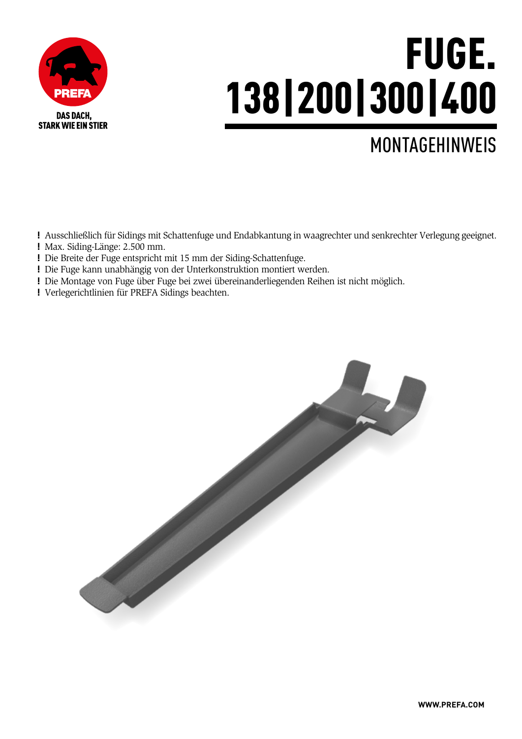

# FUGE. 138|200|300|400

### MONTAGEHINWEIS

! Ausschließlich für Sidings mit Schattenfuge und Endabkantung in waagrechter und senkrechter Verlegung geeignet. ! Max. Siding-Länge: 2.500 mm.

- ! Die Breite der Fuge entspricht mit 15 mm der Siding-Schattenfuge.
- ! Die Fuge kann unabhängig von der Unterkonstruktion montiert werden.
- ! Die Montage von Fuge über Fuge bei zwei übereinanderliegenden Reihen ist nicht möglich.
- ! Verlegerichtlinien für PREFA Sidings beachten.

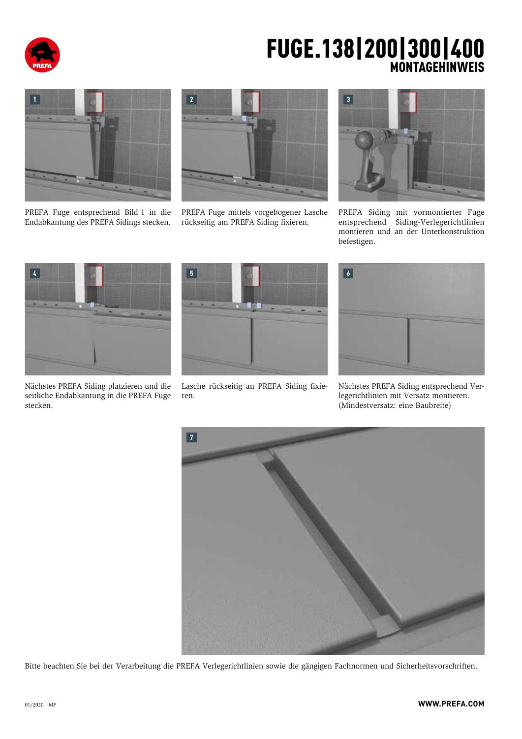

#### FUGE.138|200|300|400 MONTAGEHINWEIS



PREFA Fuge entsprechend Bild 1 in die Endabkantung des PREFA Sidings stecken.



PREFA Fuge mittels vorgebogener Lasche rückseitig am PREFA Siding fixieren.



PREFA Siding mit vormontierter Fuge entsprechend Siding-Verlegerichtlinien montieren und an der Unterkonstruktion befestigen.



Nächstes PREFA Siding platzieren und die seitliche Endabkantung in die PREFA Fuge stecken.



Lasche rückseitig an PREFA Siding fixieren.



Nächstes PREFA Siding entsprechend Verlegerichtlinien mit Versatz montieren. (Mindestversatz: eine Baubreite)



Bitte beachten Sie bei der Verarbeitung die PREFA Verlegerichtlinien sowie die gängigen Fachnormen und Sicherheitsvorschriften.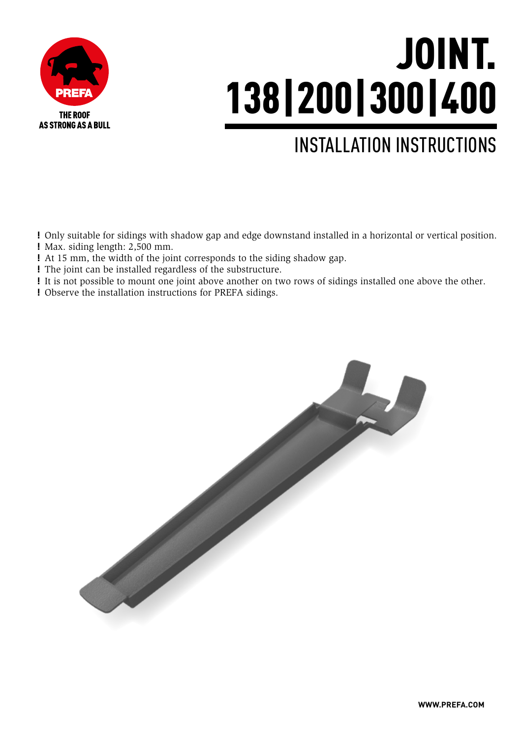

# JOINT. 138|200|300|400

### INSTALLATION INSTRUCTIONS

! Only suitable for sidings with shadow gap and edge downstand installed in a horizontal or vertical position. ! Max. siding length: 2,500 mm.

! At 15 mm, the width of the joint corresponds to the siding shadow gap.

- ! The joint can be installed regardless of the substructure.
- ! It is not possible to mount one joint above another on two rows of sidings installed one above the other.

! Observe the installation instructions for PREFA sidings.